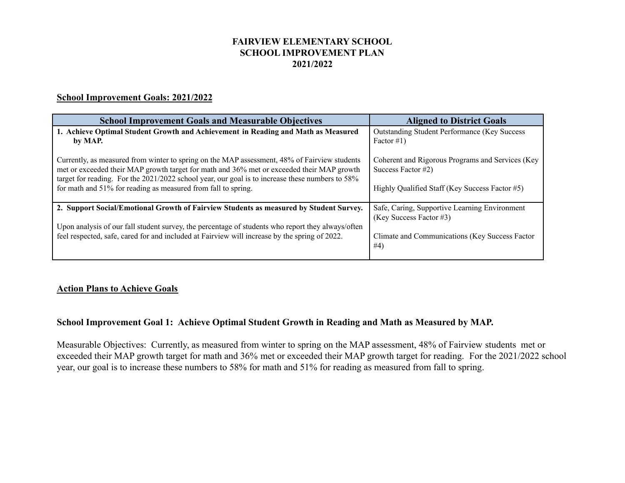# **FAIRVIEW ELEMENTARY SCHOOL SCHOOL IMPROVEMENT PLAN 2021/2022**

#### **School Improvement Goals: 2021/2022**

| <b>School Improvement Goals and Measurable Objectives</b>                                                                                                                                 | <b>Aligned to District Goals</b>                                       |
|-------------------------------------------------------------------------------------------------------------------------------------------------------------------------------------------|------------------------------------------------------------------------|
| 1. Achieve Optimal Student Growth and Achievement in Reading and Math as Measured                                                                                                         | <b>Outstanding Student Performance (Key Success</b>                    |
| by MAP.                                                                                                                                                                                   | Factor $\#1$ )                                                         |
| Currently, as measured from winter to spring on the MAP assessment, 48% of Fairview students<br>met or exceeded their MAP growth target for math and 36% met or exceeded their MAP growth | Coherent and Rigorous Programs and Services (Key<br>Success Factor #2) |
| target for reading. For the 2021/2022 school year, our goal is to increase these numbers to 58%                                                                                           |                                                                        |
| for math and 51% for reading as measured from fall to spring.                                                                                                                             | Highly Qualified Staff (Key Success Factor #5)                         |
| 2. Support Social/Emotional Growth of Fairview Students as measured by Student Survey.                                                                                                    | Safe, Caring, Supportive Learning Environment                          |
|                                                                                                                                                                                           | (Key Success Factor #3)                                                |
| Upon analysis of our fall student survey, the percentage of students who report they always/often                                                                                         |                                                                        |
| feel respected, safe, cared for and included at Fairview will increase by the spring of 2022.                                                                                             | Climate and Communications (Key Success Factor)<br>#4)                 |
|                                                                                                                                                                                           |                                                                        |

#### **Action Plans to Achieve Goals**

## **School Improvement Goal 1: Achieve Optimal Student Growth in Reading and Math as Measured by MAP.**

Measurable Objectives: Currently, as measured from winter to spring on the MAP assessment, 48% of Fairview students met or exceeded their MAP growth target for math and 36% met or exceeded their MAP growth target for reading. For the 2021/2022 school year, our goal is to increase these numbers to 58% for math and 51% for reading as measured from fall to spring.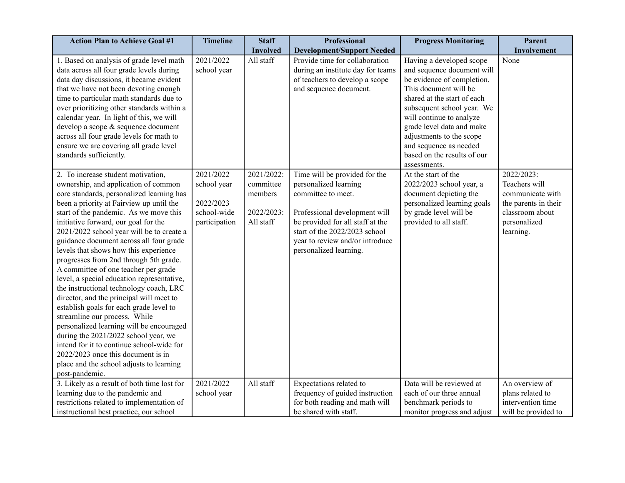| <b>Action Plan to Achieve Goal #1</b>                                                                                                                                                                                                                                                                                                                                                                                                                                                                                                                                                                                                                                                                                                                                                                                                                                                                                          | <b>Timeline</b>                                                       | <b>Staff</b>                                                  | <b>Professional</b>                                                                                                                                                                                                                             | <b>Progress Monitoring</b>                                                                                                                                                                                                                                                                                                               | Parent                                                                                                                  |
|--------------------------------------------------------------------------------------------------------------------------------------------------------------------------------------------------------------------------------------------------------------------------------------------------------------------------------------------------------------------------------------------------------------------------------------------------------------------------------------------------------------------------------------------------------------------------------------------------------------------------------------------------------------------------------------------------------------------------------------------------------------------------------------------------------------------------------------------------------------------------------------------------------------------------------|-----------------------------------------------------------------------|---------------------------------------------------------------|-------------------------------------------------------------------------------------------------------------------------------------------------------------------------------------------------------------------------------------------------|------------------------------------------------------------------------------------------------------------------------------------------------------------------------------------------------------------------------------------------------------------------------------------------------------------------------------------------|-------------------------------------------------------------------------------------------------------------------------|
|                                                                                                                                                                                                                                                                                                                                                                                                                                                                                                                                                                                                                                                                                                                                                                                                                                                                                                                                |                                                                       | <b>Involved</b>                                               | <b>Development/Support Needed</b>                                                                                                                                                                                                               |                                                                                                                                                                                                                                                                                                                                          | Involvement                                                                                                             |
| 1. Based on analysis of grade level math<br>data across all four grade levels during<br>data day discussions, it became evident<br>that we have not been devoting enough<br>time to particular math standards due to<br>over prioritizing other standards within a<br>calendar year. In light of this, we will<br>develop a scope & sequence document<br>across all four grade levels for math to<br>ensure we are covering all grade level<br>standards sufficiently.                                                                                                                                                                                                                                                                                                                                                                                                                                                         | 2021/2022<br>school year                                              | All staff                                                     | Provide time for collaboration<br>during an institute day for teams<br>of teachers to develop a scope<br>and sequence document.                                                                                                                 | Having a developed scope<br>and sequence document will<br>be evidence of completion.<br>This document will be<br>shared at the start of each<br>subsequent school year. We<br>will continue to analyze<br>grade level data and make<br>adjustments to the scope<br>and sequence as needed<br>based on the results of our<br>assessments. | None                                                                                                                    |
| 2. To increase student motivation,<br>ownership, and application of common<br>core standards, personalized learning has<br>been a priority at Fairview up until the<br>start of the pandemic. As we move this<br>initiative forward, our goal for the<br>2021/2022 school year will be to create a<br>guidance document across all four grade<br>levels that shows how this experience<br>progresses from 2nd through 5th grade.<br>A committee of one teacher per grade<br>level, a special education representative,<br>the instructional technology coach, LRC<br>director, and the principal will meet to<br>establish goals for each grade level to<br>streamline our process. While<br>personalized learning will be encouraged<br>during the 2021/2022 school year, we<br>intend for it to continue school-wide for<br>2022/2023 once this document is in<br>place and the school adjusts to learning<br>post-pandemic. | 2021/2022<br>school year<br>2022/2023<br>school-wide<br>participation | 2021/2022:<br>committee<br>members<br>2022/2023:<br>All staff | Time will be provided for the<br>personalized learning<br>committee to meet.<br>Professional development will<br>be provided for all staff at the<br>start of the 2022/2023 school<br>year to review and/or introduce<br>personalized learning. | At the start of the<br>2022/2023 school year, a<br>document depicting the<br>personalized learning goals<br>by grade level will be<br>provided to all staff.                                                                                                                                                                             | 2022/2023:<br>Teachers will<br>communicate with<br>the parents in their<br>classroom about<br>personalized<br>learning. |
| 3. Likely as a result of both time lost for<br>learning due to the pandemic and                                                                                                                                                                                                                                                                                                                                                                                                                                                                                                                                                                                                                                                                                                                                                                                                                                                | 2021/2022<br>school year                                              | All staff                                                     | Expectations related to<br>frequency of guided instruction                                                                                                                                                                                      | Data will be reviewed at<br>each of our three annual                                                                                                                                                                                                                                                                                     | An overview of<br>plans related to                                                                                      |
| restrictions related to implementation of                                                                                                                                                                                                                                                                                                                                                                                                                                                                                                                                                                                                                                                                                                                                                                                                                                                                                      |                                                                       |                                                               | for both reading and math will                                                                                                                                                                                                                  | benchmark periods to                                                                                                                                                                                                                                                                                                                     | intervention time                                                                                                       |
| instructional best practice, our school                                                                                                                                                                                                                                                                                                                                                                                                                                                                                                                                                                                                                                                                                                                                                                                                                                                                                        |                                                                       |                                                               | be shared with staff.                                                                                                                                                                                                                           | monitor progress and adjust                                                                                                                                                                                                                                                                                                              | will be provided to                                                                                                     |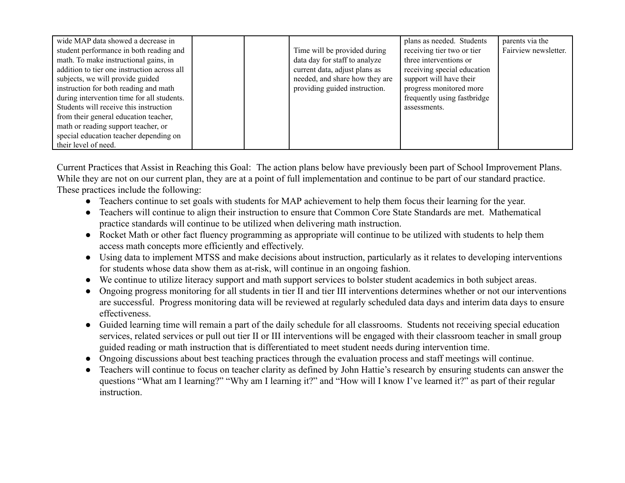| wide MAP data showed a decrease in<br>student performance in both reading and<br>math. To make instructional gains, in<br>addition to tier one instruction across all<br>subjects, we will provide guided<br>instruction for both reading and math | Time will be provided during<br>data day for staff to analyze<br>current data, adjust plans as<br>needed, and share how they are<br>providing guided instruction. | plans as needed. Students<br>receiving tier two or tier<br>three interventions or<br>receiving special education<br>support will have their<br>progress monitored more | parents via the<br>Fairview newsletter. |
|----------------------------------------------------------------------------------------------------------------------------------------------------------------------------------------------------------------------------------------------------|-------------------------------------------------------------------------------------------------------------------------------------------------------------------|------------------------------------------------------------------------------------------------------------------------------------------------------------------------|-----------------------------------------|
| during intervention time for all students.<br>Students will receive this instruction                                                                                                                                                               |                                                                                                                                                                   | frequently using fastbridge<br>assessments.                                                                                                                            |                                         |
| from their general education teacher,                                                                                                                                                                                                              |                                                                                                                                                                   |                                                                                                                                                                        |                                         |
| math or reading support teacher, or                                                                                                                                                                                                                |                                                                                                                                                                   |                                                                                                                                                                        |                                         |
| special education teacher depending on                                                                                                                                                                                                             |                                                                                                                                                                   |                                                                                                                                                                        |                                         |
| their level of need.                                                                                                                                                                                                                               |                                                                                                                                                                   |                                                                                                                                                                        |                                         |

Current Practices that Assist in Reaching this Goal: The action plans below have previously been part of School Improvement Plans. While they are not on our current plan, they are at a point of full implementation and continue to be part of our standard practice. These practices include the following:

- Teachers continue to set goals with students for MAP achievement to help them focus their learning for the year.
- Teachers will continue to align their instruction to ensure that Common Core State Standards are met. Mathematical practice standards will continue to be utilized when delivering math instruction.
- Rocket Math or other fact fluency programming as appropriate will continue to be utilized with students to help them access math concepts more efficiently and effectively.
- Using data to implement MTSS and make decisions about instruction, particularly as it relates to developing interventions for students whose data show them as at-risk, will continue in an ongoing fashion.
- We continue to utilize literacy support and math support services to bolster student academics in both subject areas.
- Ongoing progress monitoring for all students in tier II and tier III interventions determines whether or not our interventions are successful. Progress monitoring data will be reviewed at regularly scheduled data days and interim data days to ensure effectiveness.
- Guided learning time will remain a part of the daily schedule for all classrooms. Students not receiving special education services, related services or pull out tier II or III interventions will be engaged with their classroom teacher in small group guided reading or math instruction that is differentiated to meet student needs during intervention time.
- Ongoing discussions about best teaching practices through the evaluation process and staff meetings will continue.
- Teachers will continue to focus on teacher clarity as defined by John Hattie's research by ensuring students can answer the questions "What am I learning?" "Why am I learning it?" and "How will I know I've learned it?" as part of their regular **instruction**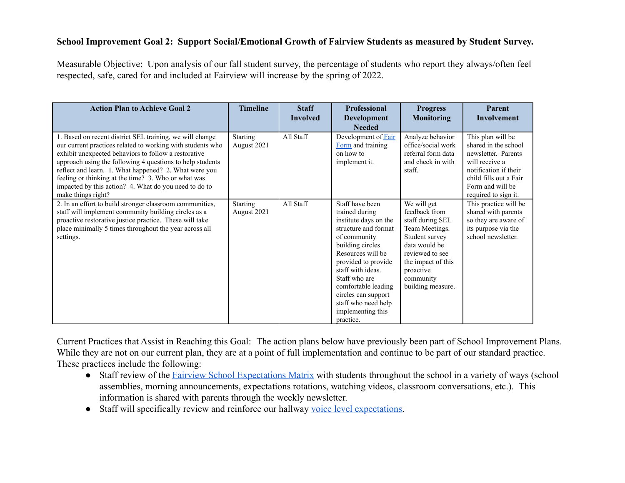# **School Improvement Goal 2: Support Social/Emotional Growth of Fairview Students as measured by Student Survey.**

Measurable Objective: Upon analysis of our fall student survey, the percentage of students who report they always/often feel respected, safe, cared for and included at Fairview will increase by the spring of 2022.

| <b>Action Plan to Achieve Goal 2</b>                                                                                                                                                                                                                                                                                                                                                                                                       | <b>Timeline</b>                | <b>Staff</b><br><b>Involved</b> | <b>Professional</b><br>Development<br><b>Needed</b>                                                                                                                                                                                                                                                              | <b>Progress</b><br>Monitoring                                                                                                                                                                 | Parent<br><b>Involvement</b>                                                                                                                                                      |
|--------------------------------------------------------------------------------------------------------------------------------------------------------------------------------------------------------------------------------------------------------------------------------------------------------------------------------------------------------------------------------------------------------------------------------------------|--------------------------------|---------------------------------|------------------------------------------------------------------------------------------------------------------------------------------------------------------------------------------------------------------------------------------------------------------------------------------------------------------|-----------------------------------------------------------------------------------------------------------------------------------------------------------------------------------------------|-----------------------------------------------------------------------------------------------------------------------------------------------------------------------------------|
| 1. Based on recent district SEL training, we will change<br>our current practices related to working with students who<br>exhibit unexpected behaviors to follow a restorative<br>approach using the following 4 questions to help students<br>reflect and learn. 1. What happened? 2. What were you<br>feeling or thinking at the time? 3. Who or what was<br>impacted by this action? 4. What do you need to do to<br>make things right? | <b>Starting</b><br>August 2021 | All Staff                       | Development of Fair<br>Form and training<br>on how to<br>implement it.                                                                                                                                                                                                                                           | Analyze behavior<br>office/social work<br>referral form data<br>and check in with<br>staff.                                                                                                   | This plan will be<br>shared in the school<br>newsletter. Parents<br>will receive a<br>notification if their<br>child fills out a Fair<br>Form and will be<br>required to sign it. |
| 2. In an effort to build stronger classroom communities,<br>staff will implement community building circles as a<br>proactive restorative justice practice. These will take<br>place minimally 5 times throughout the year across all<br>settings.                                                                                                                                                                                         | <b>Starting</b><br>August 2021 | All Staff                       | Staff have been<br>trained during<br>institute days on the<br>structure and format<br>of community<br>building circles.<br>Resources will be<br>provided to provide<br>staff with ideas.<br>Staff who are<br>comfortable leading<br>circles can support<br>staff who need help<br>implementing this<br>practice. | We will get<br>feedback from<br>staff during SEL<br>Team Meetings.<br>Student survey<br>data would be<br>reviewed to see<br>the impact of this<br>proactive<br>community<br>building measure. | This practice will be<br>shared with parents<br>so they are aware of<br>its purpose via the<br>school newsletter.                                                                 |

Current Practices that Assist in Reaching this Goal: The action plans below have previously been part of School Improvement Plans. While they are not on our current plan, they are at a point of full implementation and continue to be part of our standard practice. These practices include the following:

- Staff review of the [Fairview School Expectations Matrix](https://docs.google.com/document/d/12TN5t--P_JDnQD7lZwdt73HRTogZnG0bbatPWv6_How/edit) with students throughout the school in a variety of ways (school assemblies, morning announcements, expectations rotations, watching videos, classroom conversations, etc.). This information is shared with parents through the weekly newsletter.
- Staff will specifically review and reinforce our hallway [voice level expectations.](https://docs.google.com/document/d/1oF88RUNGf4yVeCmSVV-PJ_6p1gPPh-YQAIJtTX-_04U/edit)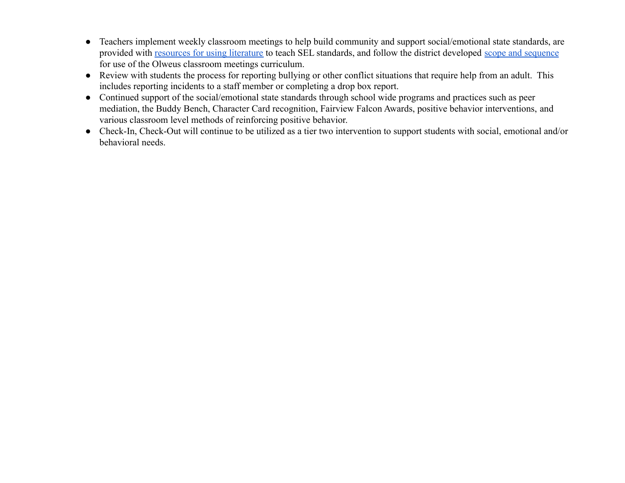- Teachers implement weekly classroom meetings to help build community and support social/emotional state standards, are provided with [resources for using literature](https://drive.google.com/file/d/1QJfQ_pW2iOT2dM1x2GS7n04NAJfr8G6Z/view?usp=sharing) to teach SEL standards, and follow the district developed [scope and sequence](https://drive.google.com/file/d/136A1JcE3QAH20mukJnAH9NAPIFKh7_Xm/view?usp=sharing) for use of the Olweus classroom meetings curriculum.
- Review with students the process for reporting bullying or other conflict situations that require help from an adult. This includes reporting incidents to a staff member or completing a drop box report.
- Continued support of the social/emotional state standards through school wide programs and practices such as peer mediation, the Buddy Bench, Character Card recognition, Fairview Falcon Awards, positive behavior interventions, and various classroom level methods of reinforcing positive behavior.
- Check-In, Check-Out will continue to be utilized as a tier two intervention to support students with social, emotional and/or behavioral needs.